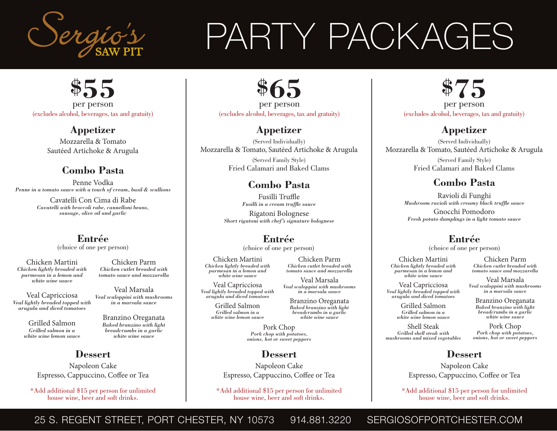

## PARTY PACKAGES



**Appetizer** Mozzarella & Tomato Sautéed Artichoke & Arugula

#### **Combo Pasta**

Penne Vodka *Penne in a tomato sauce with a touch of cream, basil & scallions*

> Cavatelli Con Cima di Rabe *Cavatelli with broccoli rabe, cannelloni beans, sausage, olive oil and garlic*

### **Entrée**

(choice of one per person)

Chicken Martini *Chicken lightly breaded with parmesan in a lemon and white wine sauce*

Veal Capricciosa *Veal lightly breaded topped with arugula and diced tomatoes*

> Grilled Salmon *Grilled salmon in a white wine lemon sauce*

#### Branzino Oreganata *Baked branzino with light*

Chicken Parm *Chicken cutlet breaded with tomato sauce and mozzarella*

Veal Marsala *Veal scaloppini with mushrooms in a marsala sauce*

> *breadcrumbs in a garlic white wine sauce*

**Dessert**

Napoleon Cake Espresso, Cappuccino, Coffee or Tea

\* Add additional \$15 per person for unlimited house wine, beer and soft drinks.

**\$65** per person (excludes alcohol, beverages, tax and gratuity)

#### **Appetizer**

(Served Individually) Mozzarella & Tomato, Sautéed Artichoke & Arugula

> (Served Family Style) Fried Calamari and Baked Clams

#### **Combo Pasta**

Fusilli Truffle *Fusilli in a cream truffle sauce*

Rigatoni Bolognese *Short rigatoni with chef's signature bolognese* 

#### **Entrée**

(choice of one per person)

Chicken Martini *Chicken lightly breaded with parmesan in a lemon and white wine sauce*

Veal Capricciosa *Veal lightly breaded topped with arugula and diced tomatoes*

> Grilled Salmon *Grilled salmon in a white wine lemon sauce*

*Chicken cutlet breaded with tomato sauce and mozzarella* Veal Marsala

Chicken Parm

*Veal scaloppini with mushrooms in a marsala sauce*

Branzino Oreganata *Baked branzino with light breadcrumbs in a garlic white wine sauce*

Pork Chop *Pork chop with potatoes, onions, hot or sweet peppers*

#### **Dessert**

Napoleon Cake Espresso, Cappuccino, Coffee or Tea

\* Add additional \$15 per person for unlimited house wine, beer and soft drinks.

**\$75** per person

(excludes alcohol, beverages, tax and gratuity)

#### **Appetizer**

(Served Individually) Mozzarella & Tomato, Sautéed Artichoke & Arugula

> (Served Family Style) Fried Calamari and Baked Clams

#### **Combo Pasta**

Ravioli di Funghi *Mushroom ravioli with creamy black truffle sauce* Gnocchi Pomodoro *Fresh potato dumplings in a light tomato sauce* 

#### **Entrée**

(choice of one per person)

Chicken Martini *Chicken lightly breaded with parmesan in a lemon and white wine sauce*

Veal Capricciosa *Veal lightly breaded topped with arugula and diced tomatoes*

Grilled Salmon *Grilled salmon in a white wine lemon sauce*

Shell Steak *Grilled shell steak with mushrooms and mixed vegetables*

Veal Marsala *Veal scaloppini with mushrooms in a marsala sauce*

Chicken Parm *Chicken cutlet breaded with tomato sauce and mozzarella*

Branzino Oreganata *Baked branzino with light breadcrumbs in a garlic white wine sauce*

Pork Chop *Pork chop with potatoes, onions, hot or sweet peppers*

#### **Dessert**

Napoleon Cake Espresso, Cappuccino, Coffee or Tea

\* Add additional \$15 per person for unlimited house wine, beer and soft drinks.

25 S. REGENT STREET, PORT CHESTER, NY 10573 914.881.3220 SERGIOSOFPORTCHESTER.COM